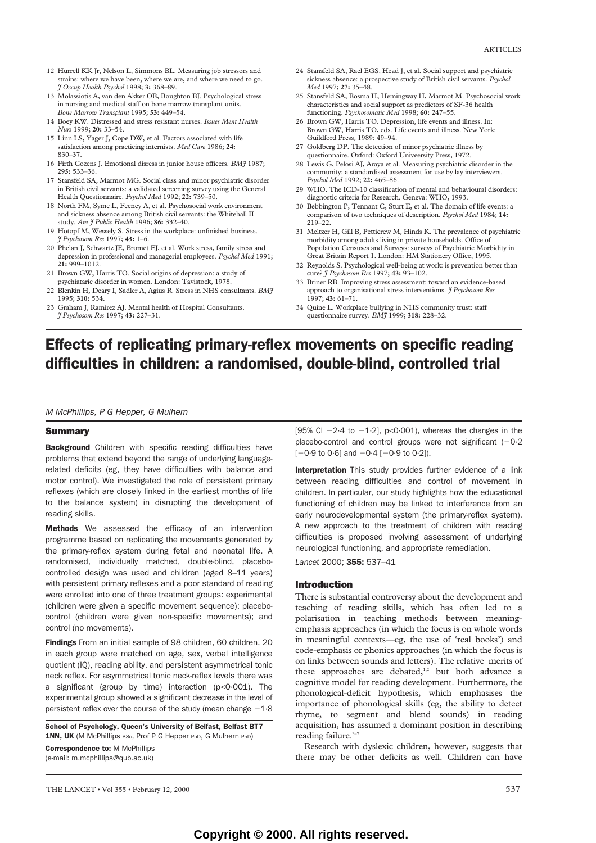- 12 Hurrell KK Jr, Nelson L, Simmons BL. Measuring job stressors and strains: where we have been, where we are, and where we need to go. *J Occup Health Psychol* 1998; **3:** 368–89.
- 13 Molassiotis A, van den Akker OB, Boughton BJ. Psychological stress in nursing and medical staff on bone marrow transplant units. *Bone Marrow Transplant* 1995; **53:** 449–54.
- 14 Boey KW. Distressed and stress resistant nurses. *Issues Ment Health Nurs* 1999; **20:** 33–54.
- 15 Linn LS, Yager J, Cope DW, et al. Factors associated with life satisfaction among practicing internists. *Med Care* 1986; **24:**  830–37.
- 16 Firth Cozens J. Emotional disress in junior house officers. *BMJ* 1987; **295:** 533–36.
- 17 Stansfeld SA, Marmot MG. Social class and minor psychiatric disorder in British civil servants: a validated screening survey using the General Health Questionnaire. *Psychol Med* 1992; **22:** 739–50.
- 18 North FM, Syme L, Feeney A, et al. Psychosocial work environment and sickness absence among British civil servants: the Whitehall II study. *Am J Public Health* 1996; **86:** 332–40.
- 19 Hotopf M, Wessely S. Stress in the workplace: unfinished business. *J Psychosom Res* 1997; **43:** 1–6.
- 20 Phelan J, Schwartz JE, Bromet EJ, et al. Work stress, family stress and depression in professional and managerial employees. *Psychol Med* 1991; **21:** 999–1012.
- 21 Brown GW, Harris TO. Social origins of depression: a study of psychiataric disorder in women. London: Tavistock, 1978.
- 22 Blenkin H, Deary I, Sadler A, Agius R. Stress in NHS consultants. *BMJ* 1995; **310:** 534.
- 23 Graham J, Ramirez AJ. Mental health of Hospital Consultants. *J Psychosom Res* 1997; **43:** 227–31.
- 24 Stansfeld SA, Rael EGS, Head J, et al. Social support and psychiatric sickness absence: a prospective study of British civil servants. *Psychol Med* 1997; **27:** 35–48.
- 25 Stansfeld SA, Bosma H, Hemingway H, Marmot M. Psychosocial work characteristics and social support as predictors of SF-36 health functioning. *Psychosomatic Med* 1998; **60:** 247–55.
- 26 Brown GW, Harris TO. Depression, life events and illness. In: Brown GW, Harris TO, eds. Life events and illness. New York: Guildford Press, 1989: 49–94.
- 27 Goldberg DP. The detection of minor psychiatric illness by questionnaire. Oxford: Oxford Univeersity Press, 1972.
- 28 Lewis G, Pelosi AJ, Araya et al. Measuring psychiatric disorder in the community: a standardised assessment for use by lay interviewers. *Psychol Med* 1992; **22:** 465–86.
- 29 WHO. The ICD-10 classification of mental and behavioural disorders: diagnostic criteria for Research. Geneva: WHO, 1993.
- 30 Bebbington P, Tennant C, Sturt E, et al. The domain of life events: a comparison of two techniques of description. *Psychol Med* 1984; **14:** 219–22.
- 31 Meltzer H, Gill B, Petticrew M, Hinds K. The prevalence of psychiatric morbidity among adults living in private households. Office of Population Censuses and Surveys: surveys of Psychiatric Morbidity in Great Britain Report 1. London: HM Stationery Office, 1995.
- 32 Reynolds S. Psychological well-being at work: is prevention better than cure? *J Psychosom Res* 1997; **43:** 93–102.
- 33 Briner RB. Improving stress assessment: toward an evidence-based approach to organisational stress interventions. *J Psychosom Res* 1997; **43:** 61–71.
- 34 Quine L. Workplace bullying in NHS community trust: staff questionnaire survey. *BMJ* 1999; **318:** 228–32.

# Effects of replicating primary-reflex movements on specific reading difficulties in children: a randomised, double-blind, controlled trial

*M McPhillips, P G Hepper, G Mulhern*

## **Summary**

**Background** Children with specific reading difficulties have problems that extend beyond the range of underlying languagerelated deficits (eg, they have difficulties with balance and motor control). We investigated the role of persistent primary reflexes (which are closely linked in the earliest months of life to the balance system) in disrupting the development of reading skills.

Methods We assessed the efficacy of an intervention programme based on replicating the movements generated by the primary-reflex system during fetal and neonatal life. A randomised, individually matched, double-blind, placebocontrolled design was used and children (aged 8–11 years) with persistent primary reflexes and a poor standard of reading were enrolled into one of three treatment groups: experimental (children were given a specific movement sequence); placebocontrol (children were given non-specific movements); and control (no movements).

Findings From an initial sample of 98 children, 60 children, 20 in each group were matched on age, sex, verbal intelligence quotient (IQ), reading ability, and persistent asymmetrical tonic neck reflex. For asymmetrical tonic neck-reflex levels there was a significant (group by time) interaction (p<0·001). The experimental group showed a significant decrease in the level of persistent reflex over the course of the study (mean change  $-1.8$ )

School of Psychology, Queen's University of Belfast, Belfast BT7 1NN, UK (M McPhillips Bsc, Prof P G Hepper PhD, G Mulhern PhD)

Correspondence to: M McPhillips (e-mail: m.mcphillips@qub.ac.uk)

[95% CI  $-2.4$  to  $-1.2$ ], p<0.001), whereas the changes in the placebo-control and control groups were not significant  $(-0.2)$  $[-0.9 \text{ to } 0.6]$  and  $-0.4 [-0.9 \text{ to } 0.2]$ ).

Interpretation This study provides further evidence of a link between reading difficulties and control of movement in children. In particular, our study highlights how the educational functioning of children may be linked to interference from an early neurodevelopmental system (the primary-reflex system). A new approach to the treatment of children with reading difficulties is proposed involving assessment of underlying neurological functioning, and appropriate remediation.

*Lancet* 2000; 355: 537–41

# Introduction

There is substantial controversy about the development and teaching of reading skills, which has often led to a polarisation in teaching methods between meaningemphasis approaches (in which the focus is on whole words in meaningful contexts—eg, the use of 'real books') and code-emphasis or phonics approaches (in which the focus is on links between sounds and letters). The relative merits of these approaches are debated,<sup>1,2</sup> but both advance a cognitive model for reading development. Furthermore, the phonological-deficit hypothesis, which emphasises the importance of phonological skills (eg, the ability to detect rhyme, to segment and blend sounds) in reading acquisition, has assumed a dominant position in describing reading failure.<sup>3-7</sup>

Research with dyslexic children, however, suggests that there may be other deficits as well. Children can have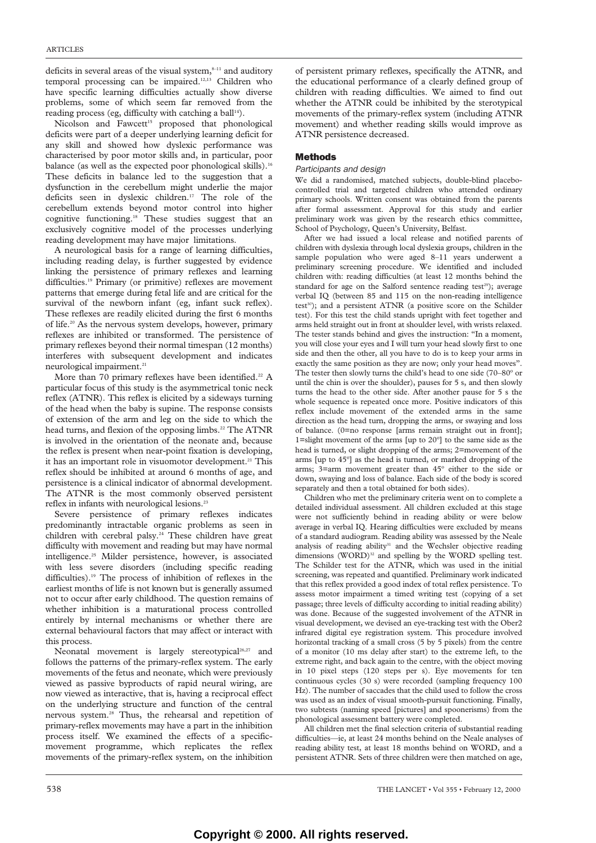deficits in several areas of the visual system, $s$ <sup>-11</sup> and auditory temporal processing can be impaired.12,13 Children who have specific learning difficulties actually show diverse problems, some of which seem far removed from the reading process (eg, difficulty with catching a ball<sup>14</sup>).

Nicolson and Fawcett<sup>15</sup> proposed that phonological deficits were part of a deeper underlying learning deficit for any skill and showed how dyslexic performance was characterised by poor motor skills and, in particular, poor balance (as well as the expected poor phonological skills).<sup>16</sup> These deficits in balance led to the suggestion that a dysfunction in the cerebellum might underlie the major deficits seen in dyslexic children.17 The role of the cerebellum extends beyond motor control into higher cognitive functioning.18 These studies suggest that an exclusively cognitive model of the processes underlying reading development may have major limitations.

A neurological basis for a range of learning difficulties, including reading delay, is further suggested by evidence linking the persistence of primary reflexes and learning difficulties.<sup>19</sup> Primary (or primitive) reflexes are movement patterns that emerge during fetal life and are critical for the survival of the newborn infant (eg, infant suck reflex). These reflexes are readily elicited during the first 6 months of life.20 As the nervous system develops, however, primary reflexes are inhibited or transformed. The persistence of primary reflexes beyond their normal timespan (12 months) interferes with subsequent development and indicates neurological impairment.<sup>21</sup>

More than 70 primary reflexes have been identified.<sup>22</sup> A particular focus of this study is the asymmetrical tonic neck reflex (ATNR). This reflex is elicited by a sideways turning of the head when the baby is supine. The response consists of extension of the arm and leg on the side to which the head turns, and flexion of the opposing limbs.<sup>22</sup> The ATNR is involved in the orientation of the neonate and, because the reflex is present when near-point fixation is developing, it has an important role in visuomotor development.<sup>21</sup> This reflex should be inhibited at around 6 months of age, and persistence is a clinical indicator of abnormal development. The ATNR is the most commonly observed persistent reflex in infants with neurological lesions.23

Severe persistence of primary reflexes indicates predominantly intractable organic problems as seen in children with cerebral palsy. $24$  These children have great difficulty with movement and reading but may have normal intelligence.25 Milder persistence, however, is associated with less severe disorders (including specific reading difficulties).19 The process of inhibition of reflexes in the earliest months of life is not known but is generally assumed not to occur after early childhood. The question remains of whether inhibition is a maturational process controlled entirely by internal mechanisms or whether there are external behavioural factors that may affect or interact with this process.

Neonatal movement is largely stereotypical<sup>26,27</sup> and follows the patterns of the primary-reflex system. The early movements of the fetus and neonate, which were previously viewed as passive byproducts of rapid neural wiring, are now viewed as interactive, that is, having a reciprocal effect on the underlying structure and function of the central nervous system.28 Thus, the rehearsal and repetition of primary-reflex movements may have a part in the inhibition process itself. We examined the effects of a specificmovement programme, which replicates the reflex movements of the primary-reflex system, on the inhibition

of persistent primary reflexes, specifically the ATNR, and the educational performance of a clearly defined group of children with reading difficulties. We aimed to find out whether the ATNR could be inhibited by the sterotypical movements of the primary-reflex system (including ATNR movement) and whether reading skills would improve as ATNR persistence decreased.

# Methods

## *Participants and design*

We did a randomised, matched subjects, double-blind placebocontrolled trial and targeted children who attended ordinary primary schools. Written consent was obtained from the parents after formal assessment. Approval for this study and earlier preliminary work was given by the research ethics committee, School of Psychology, Queen's University, Belfast.

After we had issued a local release and notified parents of children with dyslexia through local dyslexia groups, children in the sample population who were aged 8–11 years underwent a preliminary screening procedure. We identified and included children with: reading difficulties (at least 12 months behind the standard for age on the Salford sentence reading test<sup>29</sup>); average verbal IQ (between 85 and 115 on the non-reading intelligence test<sup>30</sup>); and a persistent ATNR (a positive score on the Schilder test). For this test the child stands upright with feet together and arms held straight out in front at shoulder level, with wrists relaxed. The tester stands behind and gives the instruction: "In a moment, you will close your eyes and I will turn your head slowly first to one side and then the other, all you have to do is to keep your arms in exactly the same position as they are now; only your head moves". The tester then slowly turns the child's head to one side (70–80º or until the chin is over the shoulder), pauses for 5 s, and then slowly turns the head to the other side. After another pause for 5 s the whole sequence is repeated once more. Positive indicators of this reflex include movement of the extended arms in the same direction as the head turn, dropping the arms, or swaying and loss of balance. (0=no response [arms remain straight out in front]; 1=slight movement of the arms [up to 20º] to the same side as the head is turned, or slight dropping of the arms; 2=movement of the arms [up to 45º] as the head is turned, or marked dropping of the arms; 3=arm movement greater than 45º either to the side or down, swaying and loss of balance. Each side of the body is scored separately and then a total obtained for both sides).

Children who met the preliminary criteria went on to complete a detailed individual assessment. All children excluded at this stage were not sufficiently behind in reading ability or were below average in verbal IQ. Hearing difficulties were excluded by means of a standard audiogram. Reading ability was assessed by the Neale analysis of reading ability<sup>31</sup> and the Wechsler objective reading dimensions (WORD)<sup>32</sup> and spelling by the WORD spelling test. The Schilder test for the ATNR, which was used in the initial screening, was repeated and quantified. Preliminary work indicated that this reflex provided a good index of total reflex persistence. To assess motor impairment a timed writing test (copying of a set passage; three levels of difficulty according to initial reading ability) was done. Because of the suggested involvement of the ATNR in visual development, we devised an eye-tracking test with the Ober2 infrared digital eye registration system. This procedure involved horizontal tracking of a small cross (5 by 5 pixels) from the centre of a monitor (10 ms delay after start) to the extreme left, to the extreme right, and back again to the centre, with the object moving in 10 pixel steps (120 steps per s). Eye movements for ten continuous cycles (30 s) were recorded (sampling frequency 100 Hz). The number of saccades that the child used to follow the cross was used as an index of visual smooth-pursuit functioning. Finally, two subtests (naming speed [pictures] and spoonerisms) from the phonological assessment battery were completed.

All children met the final selection criteria of substantial reading difficulties—ie, at least 24 months behind on the Neale analyses of reading ability test, at least 18 months behind on WORD, and a persistent ATNR. Sets of three children were then matched on age,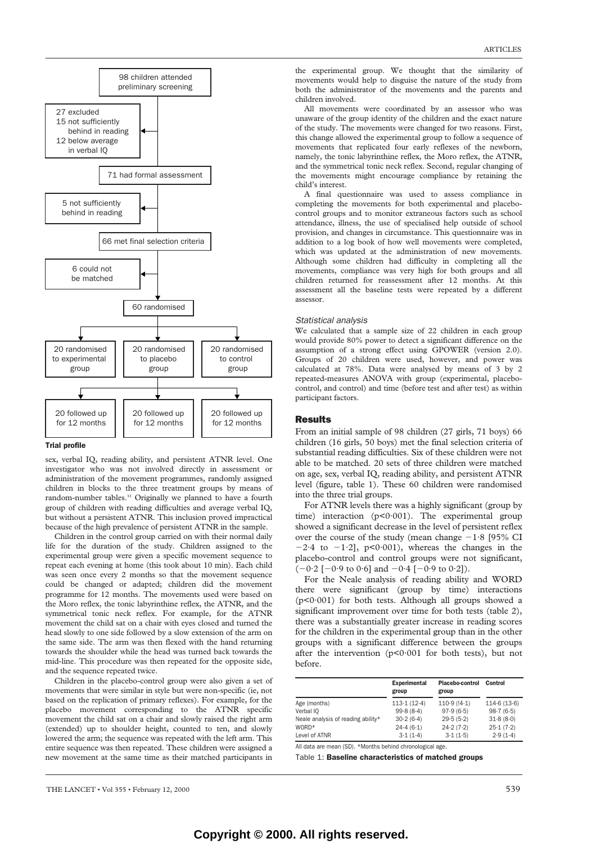

#### Trial profile

sex, verbal IQ, reading ability, and persistent ATNR level. One investigator who was not involved directly in assessment or administration of the movement programmes, randomly assigned children in blocks to the three treatment groups by means of random-number tables.<sup>33</sup> Originally we planned to have a fourth group of children with reading difficulties and average verbal IQ, but without a persistent ATNR. This inclusion proved impractical because of the high prevalence of persistent ATNR in the sample.

Children in the control group carried on with their normal daily life for the duration of the study. Children assigned to the experimental group were given a specific movement sequence to repeat each evening at home (this took about 10 min). Each child was seen once every 2 months so that the movement sequence could be changed or adapted; children did the movement programme for 12 months. The movements used were based on the Moro reflex, the tonic labyrinthine reflex, the ATNR, and the symmetrical tonic neck reflex. For example, for the ATNR movement the child sat on a chair with eyes closed and turned the head slowly to one side followed by a slow extension of the arm on the same side. The arm was then flexed with the hand returning towards the shoulder while the head was turned back towards the mid-line. This procedure was then repeated for the opposite side, and the sequence repeated twice.

Children in the placebo-control group were also given a set of movements that were similar in style but were non-specific (ie, not based on the replication of primary reflexes). For example, for the placebo movement corresponding to the ATNR specific movement the child sat on a chair and slowly raised the right arm (extended) up to shoulder height, counted to ten, and slowly lowered the arm; the sequence was repeated with the left arm. This entire sequence was then repeated. These children were assigned a new movement at the same time as their matched participants in

the experimental group. We thought that the similarity of movements would help to disguise the nature of the study from both the administrator of the movements and the parents and children involved.

All movements were coordinated by an assessor who was unaware of the group identity of the children and the exact nature of the study. The movements were changed for two reasons. First, this change allowed the experimental group to follow a sequence of movements that replicated four early reflexes of the newborn, namely, the tonic labyrinthine reflex, the Moro reflex, the ATNR, and the symmetrical tonic neck reflex. Second, regular changing of the movements might encourage compliance by retaining the child's interest.

A final questionnaire was used to assess compliance in completing the movements for both experimental and placebocontrol groups and to monitor extraneous factors such as school attendance, illness, the use of specialised help outside of school provision, and changes in circumstance. This questionnaire was in addition to a log book of how well movements were completed, which was updated at the administration of new movements. Although some children had difficulty in completing all the movements, compliance was very high for both groups and all children returned for reassessment after 12 months. At this assessment all the baseline tests were repeated by a different assessor.

## *Statistical analysis*

We calculated that a sample size of 22 children in each group would provide 80% power to detect a significant difference on the assumption of a strong effect using GPOWER (version 2.0). Groups of 20 children were used, however, and power was calculated at 78%. Data were analysed by means of 3 by 2 repeated-measures ANOVA with group (experimental, placebocontrol, and control) and time (before test and after test) as within participant factors.

## Results

From an initial sample of 98 children (27 girls, 71 boys) 66 children (16 girls, 50 boys) met the final selection criteria of substantial reading difficulties. Six of these children were not able to be matched. 20 sets of three children were matched on age, sex, verbal IQ, reading ability, and persistent ATNR level (figure, table 1). These 60 children were randomised into the three trial groups.

For ATNR levels there was a highly significant (group by time) interaction  $(p<0.001)$ . The experimental group showed a significant decrease in the level of persistent reflex over the course of the study (mean change  $-1.8$  [95% CI]  $-2.4$  to  $-1.2$ ], p<0.001), whereas the changes in the placebo-control and control groups were not significant,  $(-0.2 [-0.9 \text{ to } 0.6] \text{ and } -0.4 [-0.9 \text{ to } 0.2]).$ 

For the Neale analysis of reading ability and WORD there were significant (group by time) interactions (p<0·001) for both tests. Although all groups showed a significant improvement over time for both tests (table 2), there was a substantially greater increase in reading scores for the children in the experimental group than in the other groups with a significant difference between the groups after the intervention  $(p<0.001$  for both tests), but not before.

|                                    | <b>Experimental</b><br>group | Placebo-control<br>group | Control     |  |
|------------------------------------|------------------------------|--------------------------|-------------|--|
| Age (months)                       | 113.1(12.4)                  | 110.9(14.1)              | 114.6(13.6) |  |
| Verbal IQ                          | 99.8(8.4)                    | 97.9(6.5)                | 98.7(6.5)   |  |
| Neale analysis of reading ability* | 30.2(6.4)                    | 29.5(5.2)                | 31.8(8.0)   |  |
| WORD*                              | 24.4(6.1)                    | 24.2(7.2)                | 25.1(7.2)   |  |
| Level of ATNR                      | 3.1(1.4)                     | 3.1(1.5)                 | 2.9(1.4)    |  |

All data are mean (SD). \*Months behind chronological age.

Table 1: Baseline characteristics of matched groups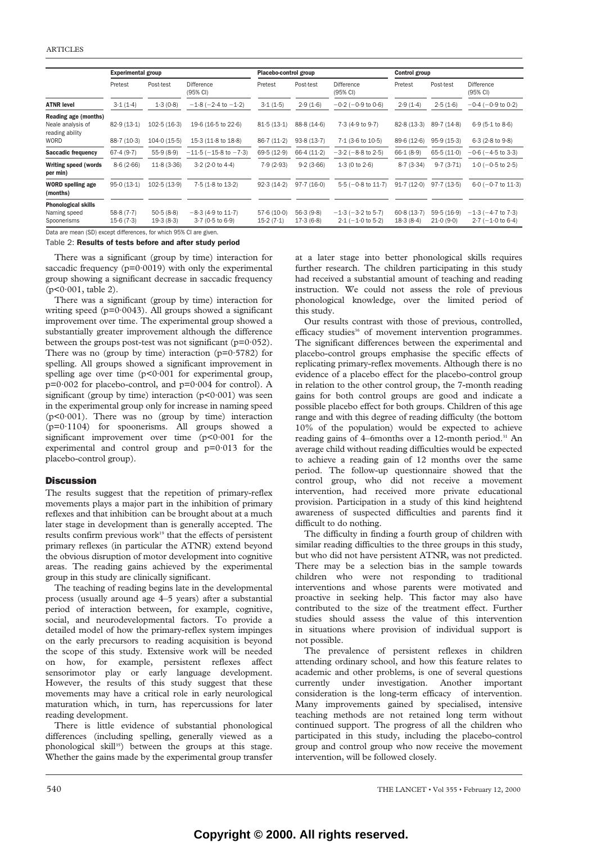|                                                                             | <b>Experimental group</b> |                            |                                            | Placebo-control group    |                          |                                                   | Control group           |                          |                                                   |
|-----------------------------------------------------------------------------|---------------------------|----------------------------|--------------------------------------------|--------------------------|--------------------------|---------------------------------------------------|-------------------------|--------------------------|---------------------------------------------------|
|                                                                             | Pretest                   | Post-test                  | Difference<br>(95% CI)                     | Pretest                  | Post-test                | Difference<br>(95% CI)                            | Pretest                 | Post-test                | Difference<br>(95% CI)                            |
| <b>ATNR level</b>                                                           | 3.1(1.4)                  | 1.3(0.8)                   | $-1.8$ ( $-2.4$ to $-1.2$ )                | 3.1(1.5)                 | 2.9(1.6)                 | $-0.2$ ( $-0.9$ to $0.6$ )                        | 2.9(1.4)                | 2.5(1.6)                 | $-0.4$ ( $-0.9$ to $0.2$ )                        |
| Reading age (months)<br>Neale analysis of<br>reading ability<br><b>WORD</b> | 82.9(13.1)<br>88.7(10.3)  | 102.5(16.3)<br>104.0(15.5) | 19 6 (16 5 to 22 6)<br>15.3 (11.8 to 18.8) | 81.5(13.1)<br>86.7(11.2) | 88.8(14.6)<br>93.8(13.7) | 7.3 (4.9 to 9.7)<br>$7.1$ (3.6 to $10.5$ )        | 82.8(13.3)<br>896(12.6) | 89.7(14.8)<br>95.9(15.3) | 6.9(5.1 to 8.6)<br>6.3(2.8 to 9.8)                |
| <b>Saccadic frequency</b>                                                   | 67.4(9.7)                 | 55.9(8.9)                  | $-11.5$ ( $-15.8$ to $-7.3$ )              | 69.5(12.9)               | 66.4(11.2)               | $-3.2$ ( $-8.8$ to 2.5)                           | 66·1(8·9)               | 65.5(11.0)               | $-0.6$ ( $-4.5$ to 3.3)                           |
| <b>Writing speed (words</b><br>per min)                                     | 8.6(2.66)                 | 11.8(3.36)                 | 3.2(2.0 to 4.4)                            | 7.9(2.93)                | 9.2(3.66)                | 1.3(0 to 2.6)                                     | 8.7(3.34)               | 9.7(3.71)                | $1.0$ (-0.5 to 2.5)                               |
| <b>WORD</b> spelling age<br>(months)                                        | 95.0(13.1)                | 102.5(13.9)                | 7.5 (1.8 to 13.2)                          | 92.3(14.2)               | 97.7(16.0)               | $5.5(-0.8 \text{ to } 11.7)$                      | 91.7(12.0)              | 97.7(13.5)               | $6.0$ (-0.7 to 11.3)                              |
| <b>Phonological skills</b><br>Naming speed<br>Spoonerisms                   | 58.8(7.7)<br>15.6(7.3)    | 50.5(8.8)<br>19.3(8.3)     | $-8.3$ (4.9 to 11.7)<br>3-7 (0-5 to 6-9)   | 57.6(10.0)<br>15.2(7.1)  | 56.3(9.8)<br>17.3(6.8)   | $-1.3$ ( $-3.2$ to $5.7$ )<br>$2.1 (-1.0 to 5.2)$ | 60.8(13.7)<br>18.3(8.4) | 59.5(16.9)<br>21.0(9.0)  | $-1.3$ ( $-4.7$ to $7.3$ )<br>$2.7$ (-1.0 to 6.4) |

Data are mean (SD) except differences, for which 95% CI are given.

### Table 2: Results of tests before and after study period

There was a significant (group by time) interaction for saccadic frequency  $(p=0.0019)$  with only the experimental group showing a significant decrease in saccadic frequency  $(p<0.001,$  table 2).

There was a significant (group by time) interaction for writing speed (p=0·0043). All groups showed a significant improvement over time. The experimental group showed a substantially greater improvement although the difference between the groups post-test was not significant ( $p=0.052$ ). There was no (group by time) interaction ( $p=0.5782$ ) for spelling. All groups showed a significant improvement in spelling age over time (p<0.001 for experimental group, p=0·002 for placebo-control, and p=0·004 for control). A significant (group by time) interaction  $(p<0.001)$  was seen in the experimental group only for increase in naming speed (p<0·001). There was no (group by time) interaction (p=0·1104) for spoonerisms. All groups showed a significant improvement over time (p<0·001 for the experimental and control group and p=0·013 for the placebo-control group).

# **Discussion**

The results suggest that the repetition of primary-reflex movements plays a major part in the inhibition of primary reflexes and that inhibition can be brought about at a much later stage in development than is generally accepted. The results confirm previous work<sup>19</sup> that the effects of persistent primary reflexes (in particular the ATNR) extend beyond the obvious disruption of motor development into cognitive areas. The reading gains achieved by the experimental group in this study are clinically significant.

The teaching of reading begins late in the developmental process (usually around age 4–5 years) after a substantial period of interaction between, for example, cognitive, social, and neurodevelopmental factors. To provide a detailed model of how the primary-reflex system impinges on the early precursors to reading acquisition is beyond the scope of this study. Extensive work will be needed on how, for example, persistent reflexes affect sensorimotor play or early language development. However, the results of this study suggest that these movements may have a critical role in early neurological maturation which, in turn, has repercussions for later reading development.

There is little evidence of substantial phonological differences (including spelling, generally viewed as a phonological skill<sup>35</sup>) between the groups at this stage. Whether the gains made by the experimental group transfer

at a later stage into better phonological skills requires further research. The children participating in this study had received a substantial amount of teaching and reading instruction. We could not assess the role of previous phonological knowledge, over the limited period of this study.

Our results contrast with those of previous, controlled, efficacy studies<sup>36</sup> of movement intervention programmes. The significant differences between the experimental and placebo-control groups emphasise the specific effects of replicating primary-reflex movements. Although there is no evidence of a placebo effect for the placebo-control group in relation to the other control group, the 7-month reading gains for both control groups are good and indicate a possible placebo effect for both groups. Children of this age range and with this degree of reading difficulty (the bottom 10% of the population) would be expected to achieve reading gains of 4–6months over a 12-month period.<sup>31</sup> An average child without reading difficulties would be expected to achieve a reading gain of 12 months over the same period. The follow-up questionnaire showed that the control group, who did not receive a movement intervention, had received more private educational provision. Participation in a study of this kind heightend awareness of suspected difficulties and parents find it difficult to do nothing.

The difficulty in finding a fourth group of children with similar reading difficulties to the three groups in this study, but who did not have persistent ATNR, was not predicted. There may be a selection bias in the sample towards children who were not responding to traditional interventions and whose parents were motivated and proactive in seeking help. This factor may also have contributed to the size of the treatment effect. Further studies should assess the value of this intervention in situations where provision of individual support is not possible.

The prevalence of persistent reflexes in children attending ordinary school, and how this feature relates to academic and other problems, is one of several questions currently under investigation. Another important consideration is the long-term efficacy of intervention. Many improvements gained by specialised, intensive teaching methods are not retained long term without continued support. The progress of all the children who participated in this study, including the placebo-control group and control group who now receive the movement intervention, will be followed closely.